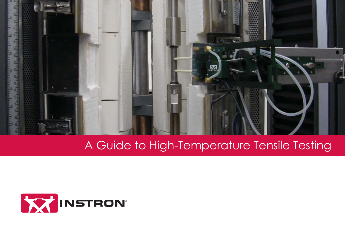

### A Guide to High-Temperature Tensile Testing

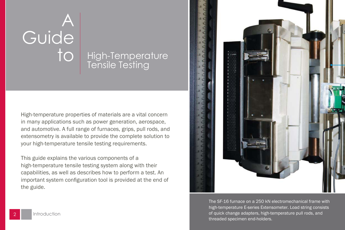# A Guide

### to High-Temperature Tensile Testing

High-temperature properties of materials are a vital concern in many applications such as power generation, aerospace, and automotive. A full range of furnaces, grips, pull rods, and extensometry is available to provide the complete solution to your high-temperature tensile testing requirements.

This guide explains the various components of a high-temperature tensile testing system along with their capabilities, as well as describes how to perform a test. An important system configuration tool is provided at the end of the guide.



The SF-16 furnace on a 250 kN electromechanical frame with high-temperature E-series Extensometer. Load string consists of quick change adapters, high-temperature pull rods, and threaded specimen end-holders.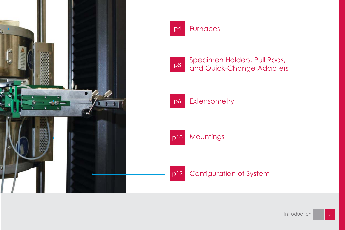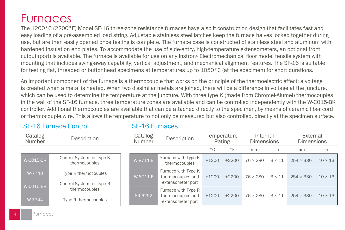### **Furnaces**

The 1200°C (2200°F) Model SF-16 three-zone resistance furnaces have a split construction design that facilitates fast and easy loading of a pre-assembled load string. Adjustable stainless steel latches keep the furnace halves locked together during use, but are then easily opened once testing is complete. The furnace case is constructed of stainless steel and aluminum with hardened insulation end plates. To accommodate the use of side-entry, high-temperature extensometers, an optional front cutout (port) is available. The furnace is available for use on any Instron® Electromechanical floor model tensile system with mounting that includes swing-away capability, vertical adjustment, and mechanical alignment features. The SF-16 is suitable for testing flat, threaded or buttonhead specimens at temperatures up to  $1050\degree$ C (at the specimen) for short durations.

An important component of the furnace is a thermocouple that works on the principle of the thermoelectric effect; a voltage is created when a metal is heated. When two dissimilar metals are joined, there will be a difference in voltage at the juncture, which can be used to determine the temperature at the juncture. With three type K (made from Chromel-Alumel) thermocouples in the wall of the SF-16 furnace, three temperature zones are available and can be controlled independently with the W-C015-BK controller. Additional thermocouples are available that can be attached directly to the specimen, by means of ceramic fiber cord or thermocouple wire. This allows the temperature to not only be measured but also controlled, directly at the specimen surface.

#### SF-16 Furnace Control

| Catalog<br>Number | Description                                |  |
|-------------------|--------------------------------------------|--|
|                   |                                            |  |
| <b>W-CO15-BK</b>  | Control System for Type K<br>thermocouples |  |
| W-7743            | Type K thermocouples                       |  |
| <b>W-CO15-BR</b>  | Control System for Type R<br>thermocouples |  |
| W-7744            | Type R thermocouples                       |  |

#### SF-16 Furnaces

|                       | Catalog<br>Number | Description                                                   |              | Temperature<br>Rating | Internal<br><b>Dimensions</b> |               | External<br><b>Dimensions</b> |                |
|-----------------------|-------------------|---------------------------------------------------------------|--------------|-----------------------|-------------------------------|---------------|-------------------------------|----------------|
|                       |                   |                                                               | $^{\circ}$ C | $\degree$ F           | mm                            | in            | mm                            | in             |
| ype K<br>$\mathbf{S}$ | W-8711-B          | Furnace with Type K<br>thermocouples                          | $+1200$      | $+2200$               | $76 \times 280$               | $3 \times 11$ | $254 \times 330$              | $10 \times 13$ |
| ples<br>ype R         | W-8711-F          | Furnace with Type K<br>thermocouples and<br>extensometer port | $+1200$      | $+2200$               | $76 \times 280$               | $3 \times 11$ | $254 \times 330$              | $10 \times 13$ |
| ples                  | S4-6292           | Furnace with Type R<br>thermocouples and<br>extensometer port | $+1200$      | $+2200$               | $76 \times 280$               | $3 \times 11$ | $254 \times 330$              | $10 \times 13$ |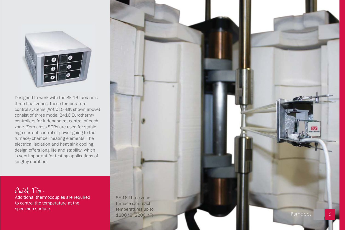

Designed to work with the SF-16 furnace's three heat zones, these temperature control systems (W-C015 -BK shown above) consist of three model 2416 Eurotherm ® controllers for independent control of each zone. Zero-cross SCRs are used for stable high-current control of power going to the furnace/chamber heating elements. The electrical isolation and heat sink cooling design offers long life and stability, which is very important for testing applications of lengthy duration.

Quick Tip-Additional thermocouples are required to control the temperature at the specimen surface.

#### SF-16 Three-zone furnace can reach temperatures up to 1200°C (2200 °F)

Furnaces

5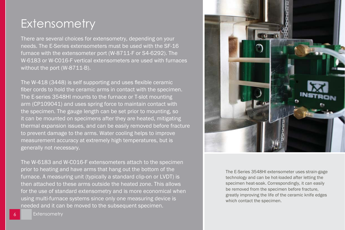### **Extensometry**

There are several choices for extensometry, depending on your needs. The E-Series extensometers must be used with the SF-16 furnace with the extensometer port (W-8711-F or S4-6292). The W-6183 or W-C016-F vertical extensometers are used with furnaces without the port (W-8711-B).

The W-418 (3448) is self supporting and uses flexible ceramic fiber cords to hold the ceramic arms in contact with the specimen. The E-series 3548HI mounts to the furnace or T-slot mounting arm (CP109041) and uses spring force to maintain contact with the specimen. The gauge length can be set prior to mounting, so it can be mounted on specimens after they are heated, mitigating thermal expansion issues, and can be easily removed before fracture to prevent damage to the arms. Water cooling helps to improve measurement accuracy at extremely high temperatures, but is generally not necessary.

The W-6183 and W-C016-F extensometers attach to the specimen prior to heating and have arms that hang out the bottom of the furnace. A measuring unit (typically a standard clip-on or LVDT) is then attached to these arms outside the heated zone. This allows for the use of standard extensometry and is more economical when using multi-furnace systems since only one measuring device is needed and it can be moved to the subsequent specimen.



The E-Series 3548HI extensometer uses strain-gage technology and can be hot-loaded after letting the specimen heat-soak. Correspondingly, it can easily be removed from the specimen before fracture, greatly improving the life of the ceramic knife edges which contact the specimen.

**Extensometry**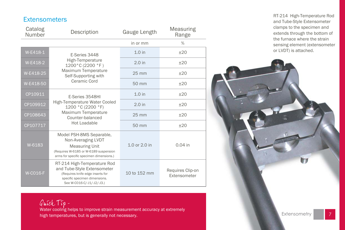#### **Extensometers**

| Catalog<br>Number | Description                                                                                                                                                   | Gauge Length      | Measuring<br>Range               |
|-------------------|---------------------------------------------------------------------------------------------------------------------------------------------------------------|-------------------|----------------------------------|
|                   |                                                                                                                                                               | in or mm          | $\%$                             |
| W-E418-1          | E-Series 3448                                                                                                                                                 | $1.0$ in          | ±20                              |
| W-E418-2          | High-Temperature<br>1200°C (2200 °F)                                                                                                                          | 2.0 <sub>in</sub> | ±20                              |
| W-E418-25         | Maximum Temperature<br>Self-Supporting with                                                                                                                   | 25 mm             | $+20$                            |
| W-E418-50         | Ceramic Cord                                                                                                                                                  | 50 mm             | ±20                              |
| CP10911           | E-Series 3548HI                                                                                                                                               | $1.0$ in          | ±20                              |
| CP109912          | High-Temperature Water Cooled<br>1200 °C (2200 °F)<br>Maximum Temperature<br>Counter-balanced                                                                 | 2.0 <sub>in</sub> | ±20                              |
| CP108643          |                                                                                                                                                               | $25 \text{ mm}$   | ±20                              |
| CP107717          | Hot Loadable                                                                                                                                                  | 50 mm             | ±20                              |
| W-6183            | Model PSH-8MS Separable,<br>Non-Averaging LVDT<br><b>Measuring Unit</b><br>(Requires W-6185 or W-6189 suspension<br>arms for specific specimen dimensions.)   | 1.0 or 2.0 in     | $0.04$ in                        |
| <b>W-CO16-F</b>   | RT-214 High-Temperature Rod<br>and Tube-Style Extensometer<br>(Requires knife edge inserts for<br>specific specimen dimensions.<br>See W-C016-C/-J1/-J2/-J3.) | 10 to 152 mm      | Requires Clip-on<br>Extensometer |

RT-214 High-Temperature Rod and Tube-Style Extensometer clamps to the specimen and extends through the bottom of the furnace where the strain sensing element (extensometer or LVDT) is attached.



Quick Tip-

Water cooling helps to improve strain measurement accuracy at extremely high temperatures, but is generally not necessary.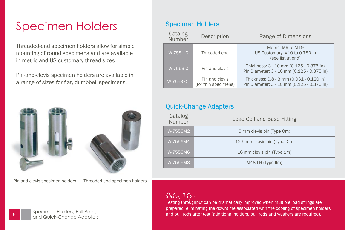### Specimen Holders

Threaded-end specimen holders allow for simple mounting of round specimens and are available in metric and US customary thread sizes.

Pin-and-clevis specimen holders are available in a range of sizes for flat, dumbbell specimens.



Pin-and-clevis specimen holders Threaded-end specimen holders

### Specimen Holders

| Catalog<br>Number | Description                            | Range of Dimensions                                                                    |
|-------------------|----------------------------------------|----------------------------------------------------------------------------------------|
| W-7551-C          | Threaded-end                           | Metric: M6 to M19<br>US Customary: #10 to 0.750 in<br>(see list at end)                |
| W-7553-C          | Pin and clevis                         | Thickness: 3 - 10 mm (0.125 - 0.375 in)<br>Pin Diameter: 3 - 10 mm (0.125 - 0.375 in)  |
| W-7553-CT         | Pin and clevis<br>(for thin specimens) | Thickness: 0.8 - 3 mm (0.031 - 0.120 in)<br>Pin Diameter: 3 - 10 mm (0.125 - 0.375 in) |

#### Quick-Change Adapters

| Catalog<br>Number | Load Cell and Base Fitting   |
|-------------------|------------------------------|
| W-7556M2          | 6 mm clevis pin (Type Om)    |
| W-7556M4          | 12.5 mm clevis pin (Type Dm) |
| W-7556M6          | 16 mm clevis pin (Type 1m)   |
| W-7556M8          | M48 LH (Type IIm)            |

Quick Tip-

Testing throughput can be dramatically improved when multiple load strings are prepared, eliminating the downtime associated with the cooling of specimen holders and pull rods after test (additional holders, pull rods and washers are required).



Specimen Holders, Pull Rods, and Quick-Change Adapters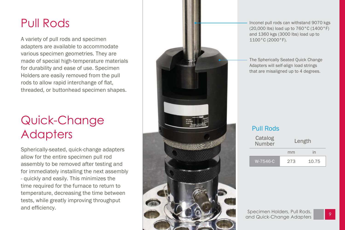### Pull Rods

A variety of pull rods and specimen adapters are available to accommodate various specimen geometries. They are made of special high-temperature materials for durability and ease of use. Specimen Holders are easily removed from the pull rods to allow rapid interchange of flat, threaded, or buttonhead specimen shapes.

### Quick-Change **Adapters**

Spherically-seated, quick-change adapters allow for the entire specimen pull rod assembly to be removed after testing and for immediately installing the next assembly - quickly and easily. This minimizes the time required for the furnace to return to temperature, decreasing the time between tests, while greatly improving throughput and efficiency.



Inconel pull rods can withstand 9070 kgs (20,000 lbs) load up to 760°C (1400°F) and 1360 kgs (3000 lbs) load up to 1100°C (2000°F).

The Spherically Seated Quick Change Adapters will self-align load strings that are misaligned up to 4 degrees.

#### Pull Rods

| Catalog<br>Number | Length |       |  |
|-------------------|--------|-------|--|
|                   | mm     | in    |  |
| W-7546-C          | 273    | 10.75 |  |

Specimen Holders, Pull Rods, and Quick-Change Adapters

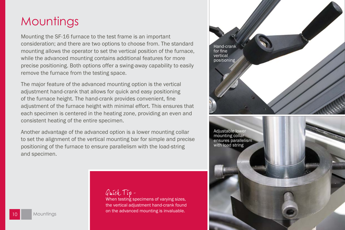### **Mountings**

Mounting the SF-16 furnace to the test frame is an important consideration; and there are two options to choose from. The standard mounting allows the operator to set the vertical position of the furnace, while the advanced mounting contains additional features for more precise positioning. Both options offer a swing-away capability to easily remove the furnace from the testing space.

The major feature of the advanced mounting option is the vertical adjustment hand-crank that allows for quick and easy positioning of the furnace height. The hand-crank provides convenient, fine adjustment of the furnace height with minimal effort. This ensures that each specimen is centered in the heating zone, providing an even and consistent heating of the entire specimen.

Another advantage of the advanced option is a lower mounting collar to set the alignment of the vertical mounting bar for simple and precise positioning of the furnace to ensure parallelism with the load-string and specimen.



When testing specimens of varying sizes, the vertical adjustment hand-crank found on the advanced mounting is invaluable.

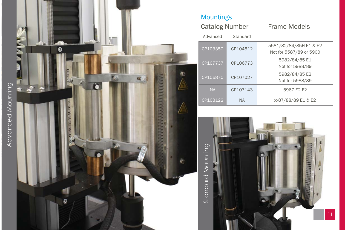



### Mountings

| <b>Catalog Number</b> |           | Frame Models                                      |
|-----------------------|-----------|---------------------------------------------------|
| Advanced              | Standard  |                                                   |
| CP103350              | CP104512  | 5581/82/84/85H E1 & E2<br>Not for 5587/89 or 5900 |
| CP107737              | CP106773  | 5982/84/85 E1<br>Not for 5988/89                  |
| CP106870              | CP107027  | 5982/84/85 E2<br>Not for 5988/89                  |
| <b>NA</b>             | CP107143  | 5967 E2 F2                                        |
| CP103122              | <b>NA</b> | xx87/88/89 E1 & E2                                |

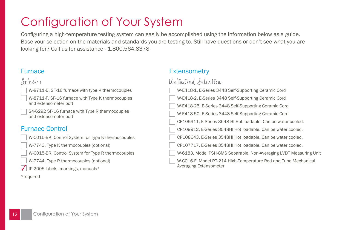### Configuration of Your System

Configuring a high-temperature testing system can easily be accomplished using the information below as a guide. Base your selection on the materials and standards you are testing to. Still have questions or don't see what you are looking for? Call us for assistance - 1.800.564.8378

#### Furnace

### felect 1

W-8711-B, SF-16 furnace with type K thermocouples

W-8711-F, SF-16 furnace with Type K thermocouples and extensometer port

S4-6292 SF-16 furnace with Type R thermocouples and extensometer port

#### Furnace Control

- W-C015-BK, Control System for Type K thermocouples
- W-7743, Type K thermocouples (optional)
- W-C015-BR, Control System for Type R thermocouples
- W-7744, Type R thermocouples (optional)
- IP-2005 labels, markings, manuals\*
- \*required

#### **Extensometry**

#### Untimited Selection

| W-E418-1, E-Series 3448 Self-Supporting Ceramic Cord                                      |
|-------------------------------------------------------------------------------------------|
| W-E418-2, E-Series 3448 Self-Supporting Ceramic Cord                                      |
| W-E418-25, E-Series 3448 Self-Supporting Ceramic Cord                                     |
| W-E418-50, E-Series 3448 Self-Supporting Ceramic Cord                                     |
| CP109911, E-Series 3548 HI Hot loadable. Can be water cooled.                             |
| CP109912, E-Series 3548HI Hot loadable. Can be water cooled.                              |
| CP108643, E-Series 3548HI Hot loadable. Can be water cooled.                              |
| CP107717, E-Series 3548HI Hot loadable. Can be water cooled.                              |
| W-6183, Model PSH-8MS Separable, Non-Averaging LVDT Measuring Unit                        |
| W-C016-F, Model RT-214 High-Temperature Rod and Tube Mechanical<br>Averaging Extensometer |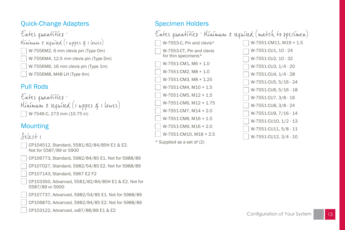### Quick-Change Adapters

Enter quantitier-Minimum 2 required (1 upper q 1 lower) W-7556M2, 6 mm clevis pin (Type Om) W-7556M4, 12.5 mm clevis pin (Type Dm) W-7556M6, 16 mm clevis pin (Type 1m) W-7556M8, M48 LH (Type IIm)

### Pull Rods

```
Enter quantities -
Minimum 2 required (1 upper 5 1 lower)
  W-7546-C, 273 mm (10.75 in)
```
### **Mounting**

### felect 1

- CP104512, Standard, 5581/82/84/85H E1 & E2. Not for 5587/89 or 5900
- CP106773, Standard, 5982/84/85 E1. Not for 5988/89
- CP107027, Standard, 5982/54/85 E2. Not for 5988/89
- CP107143, Standard, 5967 E2 F2
- CP103350, Advanced, 5581/82/84/85H E1 & E2. Not for 5587/89 or 5900
- CP107737, Advanced, 5982/54/85 E1. Not for 5988/89
- CP106870, Advanced, 5982/84/85 E2. Not for 5988/89
- CP103122, Advanced, xx87/88/89 E1 & E2 -

#### Specimen Holders

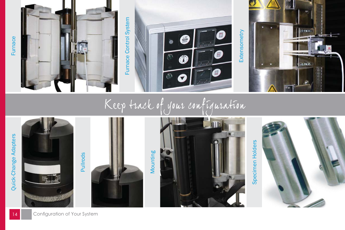

## Keep track of your configuration



14 Configuration of Your Syst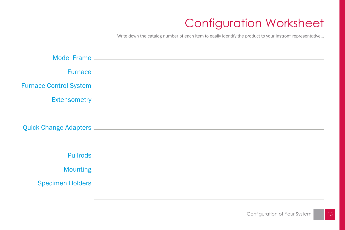### **Configuration Worksheet**

Write down the catalog number of each item to easily identify the product to your Instron® representative...

| Quick-Change Adapters <b>Contract Contract Contract Contract Contract Contract Contract Contract Contract Contract Contract Contract Contract Contract Contract Contract Contract Contract Contract Contract Contract Contract C</b> |
|--------------------------------------------------------------------------------------------------------------------------------------------------------------------------------------------------------------------------------------|
|                                                                                                                                                                                                                                      |
|                                                                                                                                                                                                                                      |
|                                                                                                                                                                                                                                      |
|                                                                                                                                                                                                                                      |
|                                                                                                                                                                                                                                      |
|                                                                                                                                                                                                                                      |
|                                                                                                                                                                                                                                      |